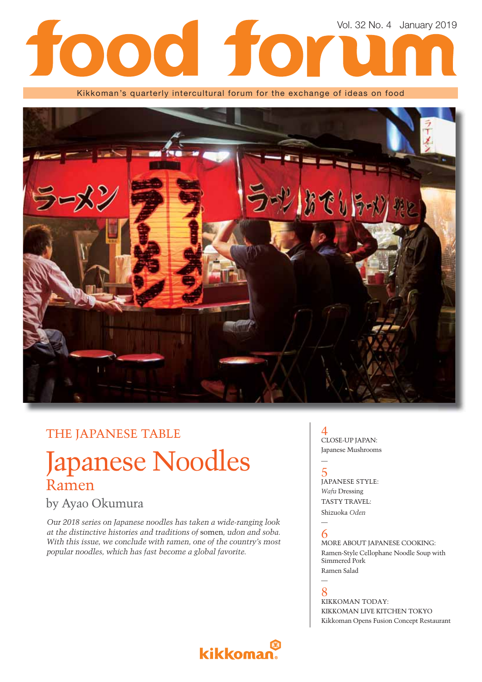## Vol. 32 No. 4 January 201910 1 **DOO**

Kikkoman's quarterly intercultural forum for the exchange of ideas on food



## THE JAPANESE TABLE

## Japanese Noodles Ramen

### by Ayao Okumura

*Our 2018 series on Japanese noodles has taken a wide-ranging look at the distinctive histories and traditions of* somen*, udon and soba. With this issue, we conclude with ramen, one of the country's most popular noodles, which has fast become a global favorite.*

### 4 CLOSE-UP JAPAN: Japanese Mushrooms

5 JAPANESE STYLE: *Wafu* Dressing TASTY TRAVEL: Shizuoka *Oden*

### — 6

—

MORE ABOUT JAPANESE COOKING: Ramen-Style Cellophane Noodle Soup with Simmered Pork Ramen Salad

— 8

KIKKOMAN TODAY: KIKKOMAN LIVE KITCHEN TOKYO Kikkoman Opens Fusion Concept Restaurant

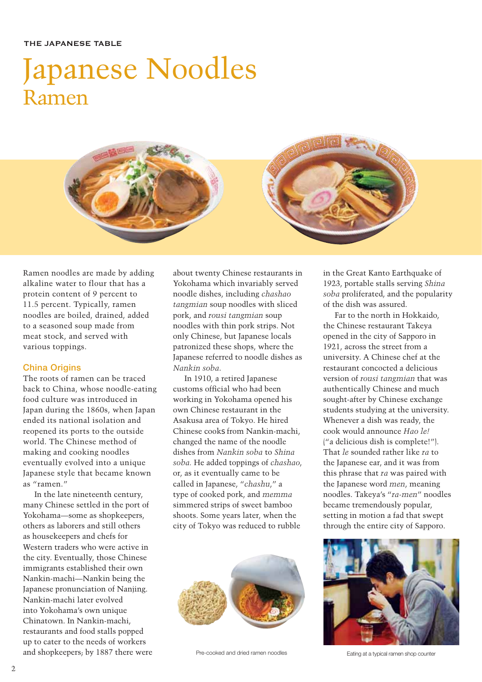### THE JAPANESE TABLE

# Japanese Noodles Ramen



Ramen noodles are made by adding alkaline water to flour that has a protein content of 9 percent to 11.5 percent. Typically, ramen noodles are boiled, drained, added to a seasoned soup made from meat stock, and served with various toppings.

### China Origins

The roots of ramen can be traced back to China, whose noodle-eating food culture was introduced in Japan during the 1860s, when Japan ended its national isolation and reopened its ports to the outside world. The Chinese method of making and cooking noodles eventually evolved into a unique Japanese style that became known as "ramen."

In the late nineteenth century, many Chinese settled in the port of Yokohama—some as shopkeepers, others as laborers and still others as housekeepers and chefs for Western traders who were active in the city. Eventually, those Chinese immigrants established their own Nankin-machi—Nankin being the Japanese pronunciation of Nanjing. Nankin-machi later evolved into Yokohama's own unique Chinatown. In Nankin-machi, restaurants and food stalls popped up to cater to the needs of workers and shopkeepers; by 1887 there were

about twenty Chinese restaurants in Yokohama which invariably served noodle dishes, including *chashao tangmian* soup noodles with sliced pork, and *rousi tangmian* soup noodles with thin pork strips. Not only Chinese, but Japanese locals patronized these shops, where the Japanese referred to noodle dishes as *Nankin soba*.

In 1910, a retired Japanese customs official who had been working in Yokohama opened his own Chinese restaurant in the Asakusa area of Tokyo. He hired Chinese cooks from Nankin-machi, changed the name of the noodle dishes from *Nankin soba* to *Shina soba.* He added toppings of *chashao*, or, as it eventually came to be called in Japanese, "*chashu*," a type of cooked pork, and *memma* simmered strips of sweet bamboo shoots. Some years later, when the city of Tokyo was reduced to rubble



Pre-cooked and dried ramen noodles Eating at a typical ramen shop counter

in the Great Kanto Earthquake of 1923, portable stalls serving *Shina soba* proliferated, and the popularity of the dish was assured.

Far to the north in Hokkaido, the Chinese restaurant Takeya opened in the city of Sapporo in 1921, across the street from a university. A Chinese chef at the restaurant concocted a delicious version of *rousi tangmian* that was authentically Chinese and much sought-after by Chinese exchange students studying at the university. Whenever a dish was ready, the cook would announce *Hao le!*  ("a delicious dish is complete!"). That *le* sounded rather like *ra* to the Japanese ear, and it was from this phrase that *ra* was paired with the Japanese word *men*, meaning noodles. Takeya's "*ra-men*" noodles became tremendously popular, setting in motion a fad that swept through the entire city of Sapporo.

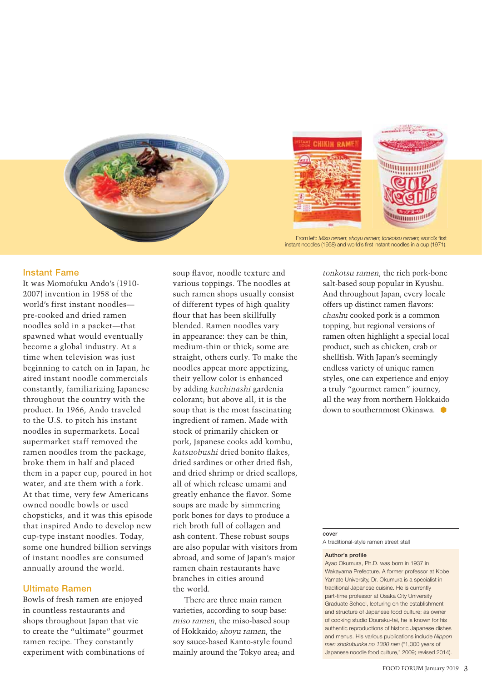

From left: Miso ramen; shoyu ramen; *tonkotsu ramen*; world's first instant noodles (1958) and world's first instant noodles in a cup (1971).

### Instant Fame

It was Momofuku Ando's (1910- 2007) invention in 1958 of the world's first instant noodles pre-cooked and dried ramen noodles sold in a packet—that spawned what would eventually become a global industry. At a time when television was just beginning to catch on in Japan, he aired instant noodle commercials constantly, familiarizing Japanese throughout the country with the product. In 1966, Ando traveled to the U.S. to pitch his instant noodles in supermarkets. Local supermarket staff removed the ramen noodles from the package, broke them in half and placed them in a paper cup, poured in hot water, and ate them with a fork. At that time, very few Americans owned noodle bowls or used chopsticks, and it was this episode that inspired Ando to develop new cup-type instant noodles. Today, some one hundred billion servings of instant noodles are consumed annually around the world.

### Ultimate Ramen

Bowls of fresh ramen are enjoyed in countless restaurants and shops throughout Japan that vie to create the "ultimate" gourmet ramen recipe. They constantly experiment with combinations of soup flavor, noodle texture and various toppings. The noodles at such ramen shops usually consist of different types of high quality flour that has been skillfully blended. Ramen noodles vary in appearance: they can be thin, medium-thin or thick; some are straight, others curly. To make the noodles appear more appetizing, their yellow color is enhanced by adding *kuchinashi* gardenia colorant; but above all, it is the soup that is the most fascinating ingredient of ramen. Made with stock of primarily chicken or pork, Japanese cooks add kombu, *katsuobushi* dried bonito flakes. dried sardines or other dried fish, and dried shrimp or dried scallops, all of which release umami and greatly enhance the flavor. Some soups are made by simmering pork bones for days to produce a rich broth full of collagen and ash content. These robust soups are also popular with visitors from abroad, and some of Japan's major ramen chain restaurants have branches in cities around the world.

There are three main ramen varieties, according to soup base: *miso ramen*, the miso-based soup of Hokkaido; *shoyu ramen*, the soy sauce-based Kanto-style found mainly around the Tokyo area; and

*tonkotsu ramen*, the rich pork-bone salt-based soup popular in Kyushu. And throughout Japan, every locale offers up distinct ramen flavors: *chashu* cooked pork is a common topping, but regional versions of ramen often highlight a special local product, such as chicken, crab or shellfish. With Japan's seemingly endless variety of unique ramen styles, one can experience and enjoy a truly "gourmet ramen" journey, all the way from northern Hokkaido down to southernmost Okinawa.

#### cover

A traditional-style ramen street stall

#### Author's profile

Ayao Okumura, Ph.D. was born in 1937 in Wakayama Prefecture. A former professor at Kobe Yamate University, Dr. Okumura is a specialist in traditional Japanese cuisine. He is currently part-time professor at Osaka City University Graduate School, lecturing on the establishment and structure of Japanese food culture; as owner of cooking studio Douraku-tei, he is known for his authentic reproductions of historic Japanese dishes and menus. His various publications include *Nippon men shokubunka no 1300 nen* ("1,300 years of Japanese noodle food culture," 2009; revised 2014).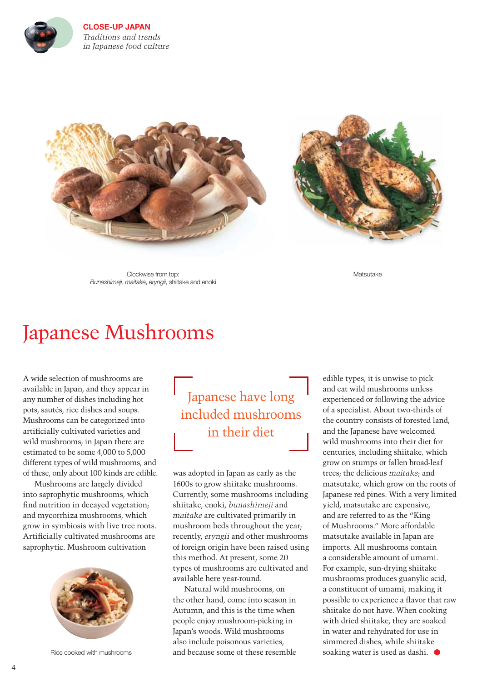

**CLOSE-UP JAPAN** *Traditions and trends in Japanese food culture* 





Clockwise from top: *Bunashimeji*, *maitake*, *eryngii*, shiitake and enoki Matsutake

## Japanese Mushrooms

A wide selection of mushrooms are available in Japan, and they appear in any number of dishes including hot pots, sautés, rice dishes and soups. Mushrooms can be categorized into artificially cultivated varieties and wild mushrooms; in Japan there are estimated to be some 4,000 to 5,000 different types of wild mushrooms, and of these, only about 100 kinds are edible.

Mushrooms are largely divided into saprophytic mushrooms, which find nutrition in decayed vegetation; and mycorrhiza mushrooms, which grow in symbiosis with live tree roots. Artificially cultivated mushrooms are saprophytic. Mushroom cultivation



Rice cooked with mushrooms

Japanese have long included mushrooms in their diet

was adopted in Japan as early as the 1600s to grow shiitake mushrooms. Currently, some mushrooms including shiitake, enoki, *bunashimeji* and *maitake* are cultivated primarily in mushroom beds throughout the year; recently, *eryngii* and other mushrooms of foreign origin have been raised using this method. At present, some 20 types of mushrooms are cultivated and available here year-round.

Natural wild mushrooms, on the other hand, come into season in Autumn, and this is the time when people enjoy mushroom-picking in Japan's woods. Wild mushrooms also include poisonous varieties, and because some of these resemble

edible types, it is unwise to pick and eat wild mushrooms unless experienced or following the advice of a specialist. About two-thirds of the country consists of forested land, and the Japanese have welcomed wild mushrooms into their diet for centuries, including shiitake*,* which grow on stumps or fallen broad-leaf trees; the delicious *maitake*; and matsutake, which grow on the roots of Japanese red pines. With a very limited yield, matsutake are expensive, and are referred to as the "King of Mushrooms." More affordable matsutake available in Japan are imports. All mushrooms contain a considerable amount of umami. For example, sun-drying shiitake mushrooms produces guanylic acid, a constituent of umami, making it possible to experience a flavor that raw shiitake do not have. When cooking with dried shiitake, they are soaked in water and rehydrated for use in simmered dishes, while shiitake soaking water is used as dashi.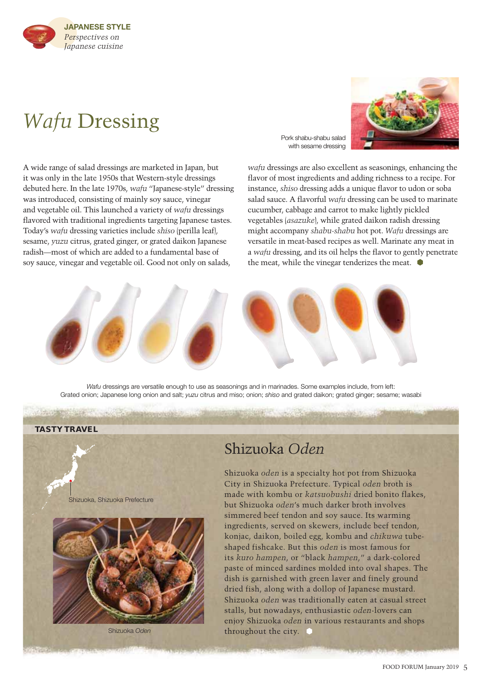

## *Wafu* Dressing

Pork shabu-shabu salad with sesame dressing



A wide range of salad dressings are marketed in Japan, but it was only in the late 1950s that Western-style dressings debuted here. In the late 1970s, *wafu* "Japanese-style" dressing was introduced, consisting of mainly soy sauce, vinegar and vegetable oil. This launched a variety of *wafu* dressings flavored with traditional ingredients targeting Japanese tastes. Today's *wafu* dressing varieties include *shiso* (perilla leaf), sesame, *yuzu* citrus, grated ginger, or grated daikon Japanese radish—most of which are added to a fundamental base of soy sauce, vinegar and vegetable oil. Good not only on salads,

*wafu* dressings are also excellent as seasonings, enhancing the flavor of most ingredients and adding richness to a recipe. For instance, *shiso* dressing adds a unique flavor to udon or soba salad sauce. A flavorful *wafu* dressing can be used to marinate cucumber, cabbage and carrot to make lightly pickled vegetables (*asazuke*), while grated daikon radish dressing might accompany *shabu-shabu* hot pot. *Wafu* dressings are versatile in meat-based recipes as well. Marinate any meat in a *wafu* dressing, and its oil helps the flavor to gently penetrate the meat, while the vinegar tenderizes the meat.  $\bullet$ 



*Wafu* dressings are versatile enough to use as seasonings and in marinades. Some examples include, from left: Grated onion; Japanese long onion and salt; *yuzu* citrus and miso; onion; *shiso* and grated daikon; grated ginger; sesame; wasabi

### **TASTY TRAVEL**

Shizuoka, Shizuoka Prefecture



Shizuoka *Oden*

## Shizuoka *Oden*

Shizuoka *oden* is a specialty hot pot from Shizuoka City in Shizuoka Prefecture. Typical *oden* broth is made with kombu or *katsuobushi* dried bonito flakes, but Shizuoka *oden*'s much darker broth involves simmered beef tendon and soy sauce. Its warming ingredients, served on skewers, include beef tendon, konjac, daikon, boiled egg, kombu and *chikuwa* tubeshaped fishcake. But this *oden* is most famous for its *kuro hampen*, or "black *hampen*," a dark-colored paste of minced sardines molded into oval shapes. The dish is garnished with green laver and finely ground dried fish, along with a dollop of Japanese mustard. Shizuoka *oden* was traditionally eaten at casual street stalls, but nowadays, enthusiastic *oden*-lovers can enjoy Shizuoka *oden* in various restaurants and shops throughout the city.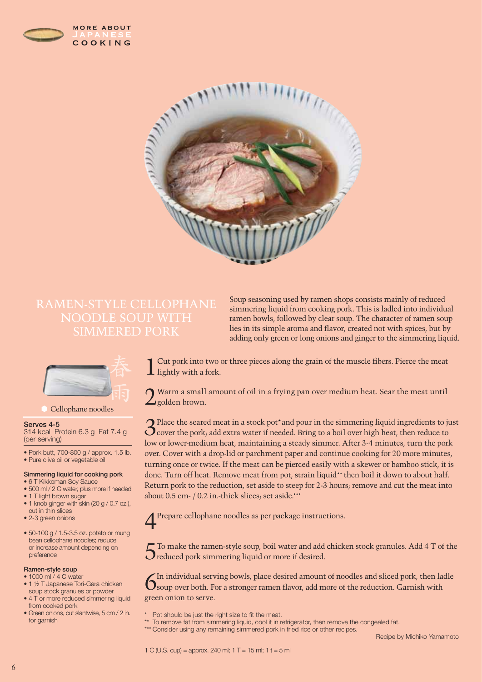





### Cellophane noodles

### Serves 4-5

314 kcal Protein 6.3 g Fat 7.4 g (per serving)

- Pork butt, 700-800 g / approx. 1.5 lb.
- Pure olive oil or vegetable oil

#### Simmering liquid for cooking pork

- 6 T Kikkoman Soy Sauce
- 500 ml / 2 C water, plus more if needed
- 1 T light brown sugar • 1 knob ginger with skin (20 g / 0.7 oz.),
- cut in thin slices
- 2-3 green onions
- 50-100 g / 1.5-3.5 oz. potato or mung bean cellophane noodles; reduce or increase amount depending on preference

### Ramen-style soup

- 1000 ml / 4 C water • 1 1/2 T Japanese Tori-Gara chicken soup stock granules or powder
- 4 T or more reduced simmering liquid from cooked pork
- Green onions, cut slantwise, 5 cm / 2 in. for garnish

Soup seasoning used by ramen shops consists mainly of reduced simmering liquid from cooking pork. This is ladled into individual ramen bowls, followed by clear soup. The character of ramen soup lies in its simple aroma and flavor, created not with spices, but by adding only green or long onions and ginger to the simmering liquid.

Cut pork into two or three pieces along the grain of the muscle fibers. Pierce the meat  $\perp$  lightly with a fork.

 $\bigcap$  Warm a small amount of oil in a frying pan over medium heat. Sear the meat until **Z**golden brown.

 $3$  Place the seared meat in a stock pot\*and pour in the simmering liquid ingredients to just  $3$  cover the pork; add extra water if needed. Bring to a boil over high heat, then reduce to low or lower-medium heat, maintaining a steady simmer. After 3-4 minutes, turn the pork over. Cover with a drop-lid or parchment paper and continue cooking for 20 more minutes, turning once or twice. If the meat can be pierced easily with a skewer or bamboo stick, it is done. Turn off heat. Remove meat from pot, strain liquid\*\* then boil it down to about half. Return pork to the reduction, set aside to steep for 2-3 hours; remove and cut the meat into about 0.5 cm- / 0.2 in.-thick slices; set aside.\*\*\*

4Prepare cellophane noodles as per package instructions.

To make the ramen-style soup, boil water and add chicken stock granules. Add 4 T of the **O** reduced pork simmering liquid or more if desired.

 $6$  In individual serving bowls, place desired amount of noodles and sliced pork, then ladle Soup over both. For a stronger ramen flavor, add more of the reduction. Garnish with green onion to serve.

To remove fat from simmering liquid, cool it in refrigerator, then remove the congealed fat.

Pot should be just the right size to fit the meat.

<sup>\*\*\*</sup> Consider using any remaining simmered pork in fried rice or other recipes.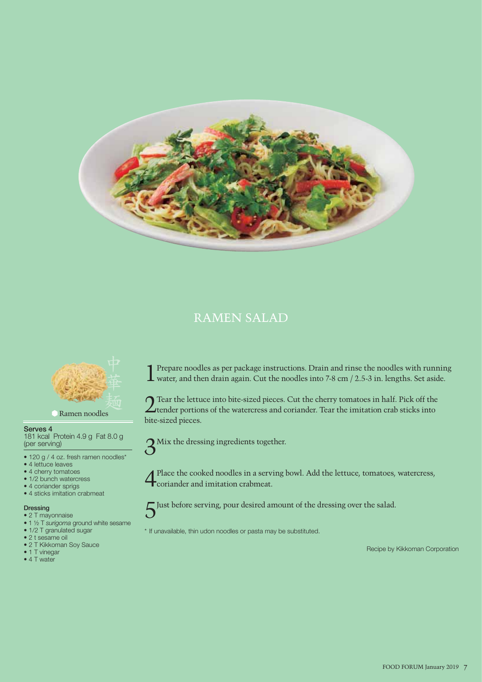

### RAMEN SALAD



Ramen noodles

### Serves 4

181 kcal Protein 4.9 g Fat 8.0 g (per serving)

- 120 g / 4 oz. fresh ramen noodles\*
- 4 lettuce leaves
- 4 cherry tomatoes
- 1/2 bunch watercress
- 4 coriander sprigs
- 4 sticks imitation crabmeat

### Dressing

- 2 T mayonnaise • 1 ½ T *surigoma* ground white sesame
- 1/2 T granulated sugar
- 2 t sesame oil
- 2 T Kikkoman Soy Sauce
- 1 T vinegar
- 4 T water

1Prepare noodles as per package instructions. Drain and rinse the noodles with running water, and then drain again. Cut the noodles into 7-8 cm / 2.5-3 in. lengths. Set aside.

**Tear the lettuce into bite-sized pieces. Cut the cherry tomatoes in half. Pick off the**  $\angle$  tender portions of the watercress and coriander. Tear the imitation crab sticks into bite-sized pieces.

 $3^{$  Mix the dressing ingredients together.

Place the cooked noodles in a serving bowl. Add the lettuce, tomatoes, watercress, coriander and imitation crabmeat.

5Just before serving, pour desired amount of the dressing over the salad.

- 
- \* If unavailable, thin udon noodles or pasta may be substituted.

Recipe by Kikkoman Corporation